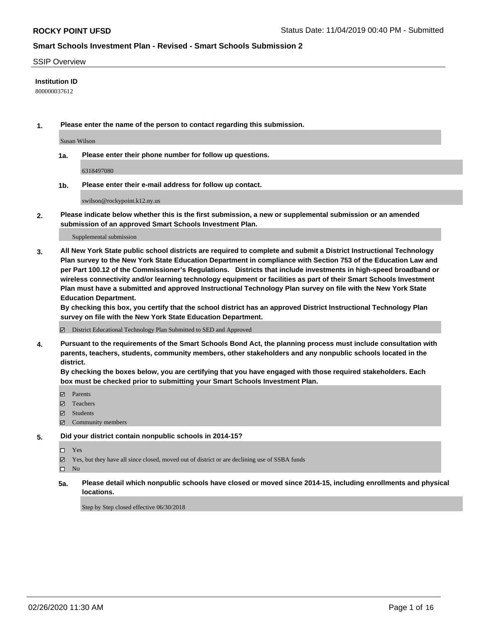#### SSIP Overview

### **Institution ID**

800000037612

**1. Please enter the name of the person to contact regarding this submission.**

Susan Wilson

**1a. Please enter their phone number for follow up questions.**

6318497080

**1b. Please enter their e-mail address for follow up contact.**

swilson@rockypoint.k12.ny.us

**2. Please indicate below whether this is the first submission, a new or supplemental submission or an amended submission of an approved Smart Schools Investment Plan.**

#### Supplemental submission

**3. All New York State public school districts are required to complete and submit a District Instructional Technology Plan survey to the New York State Education Department in compliance with Section 753 of the Education Law and per Part 100.12 of the Commissioner's Regulations. Districts that include investments in high-speed broadband or wireless connectivity and/or learning technology equipment or facilities as part of their Smart Schools Investment Plan must have a submitted and approved Instructional Technology Plan survey on file with the New York State Education Department.** 

**By checking this box, you certify that the school district has an approved District Instructional Technology Plan survey on file with the New York State Education Department.**

District Educational Technology Plan Submitted to SED and Approved

**4. Pursuant to the requirements of the Smart Schools Bond Act, the planning process must include consultation with parents, teachers, students, community members, other stakeholders and any nonpublic schools located in the district.** 

**By checking the boxes below, you are certifying that you have engaged with those required stakeholders. Each box must be checked prior to submitting your Smart Schools Investment Plan.**

- Parents
- Teachers
- Students
- Community members

#### **5. Did your district contain nonpublic schools in 2014-15?**

Yes

Yes, but they have all since closed, moved out of district or are declining use of SSBA funds

 $\square$  No

**5a. Please detail which nonpublic schools have closed or moved since 2014-15, including enrollments and physical locations.**

Step by Step closed effective 06/30/2018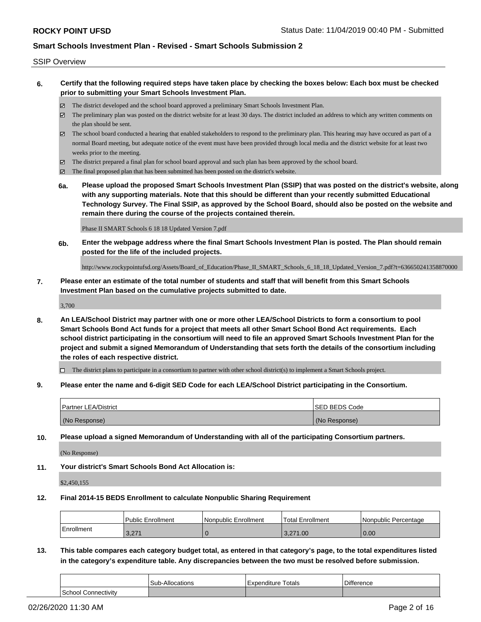#### SSIP Overview

- **6. Certify that the following required steps have taken place by checking the boxes below: Each box must be checked prior to submitting your Smart Schools Investment Plan.**
	- The district developed and the school board approved a preliminary Smart Schools Investment Plan.
	- The preliminary plan was posted on the district website for at least 30 days. The district included an address to which any written comments on the plan should be sent.
	- The school board conducted a hearing that enabled stakeholders to respond to the preliminary plan. This hearing may have occured as part of a normal Board meeting, but adequate notice of the event must have been provided through local media and the district website for at least two weeks prior to the meeting.
	- The district prepared a final plan for school board approval and such plan has been approved by the school board.
	- The final proposed plan that has been submitted has been posted on the district's website.
	- **6a. Please upload the proposed Smart Schools Investment Plan (SSIP) that was posted on the district's website, along with any supporting materials. Note that this should be different than your recently submitted Educational Technology Survey. The Final SSIP, as approved by the School Board, should also be posted on the website and remain there during the course of the projects contained therein.**

Phase II SMART Schools 6 18 18 Updated Version 7.pdf

**6b. Enter the webpage address where the final Smart Schools Investment Plan is posted. The Plan should remain posted for the life of the included projects.**

http://www.rockypointufsd.org/Assets/Board\_of\_Education/Phase\_II\_SMART\_Schools\_6\_18\_18\_Updated\_Version\_7.pdf?t=636650241358870000

**7. Please enter an estimate of the total number of students and staff that will benefit from this Smart Schools Investment Plan based on the cumulative projects submitted to date.**

3,700

**8. An LEA/School District may partner with one or more other LEA/School Districts to form a consortium to pool Smart Schools Bond Act funds for a project that meets all other Smart School Bond Act requirements. Each school district participating in the consortium will need to file an approved Smart Schools Investment Plan for the project and submit a signed Memorandum of Understanding that sets forth the details of the consortium including the roles of each respective district.**

 $\Box$  The district plans to participate in a consortium to partner with other school district(s) to implement a Smart Schools project.

**9. Please enter the name and 6-digit SED Code for each LEA/School District participating in the Consortium.**

| <b>Partner LEA/District</b> | ISED BEDS Code |
|-----------------------------|----------------|
| (No Response)               | (No Response)  |

**10. Please upload a signed Memorandum of Understanding with all of the participating Consortium partners.**

(No Response)

**11. Your district's Smart Schools Bond Act Allocation is:**

\$2,450,155

**12. Final 2014-15 BEDS Enrollment to calculate Nonpublic Sharing Requirement**

|            | Public Enrollment | Nonpublic Enrollment | <b>Total Enrollment</b> | l Nonpublic Percentage |
|------------|-------------------|----------------------|-------------------------|------------------------|
| Enrollment | 3,271             |                      | 3,271.00                | 0.00                   |

**13. This table compares each category budget total, as entered in that category's page, to the total expenditures listed in the category's expenditure table. Any discrepancies between the two must be resolved before submission.**

|                       | Sub-Allocations | Totals<br>Expenditure | $\cdots$<br>Difference |
|-----------------------|-----------------|-----------------------|------------------------|
| l School Connectivitv |                 |                       |                        |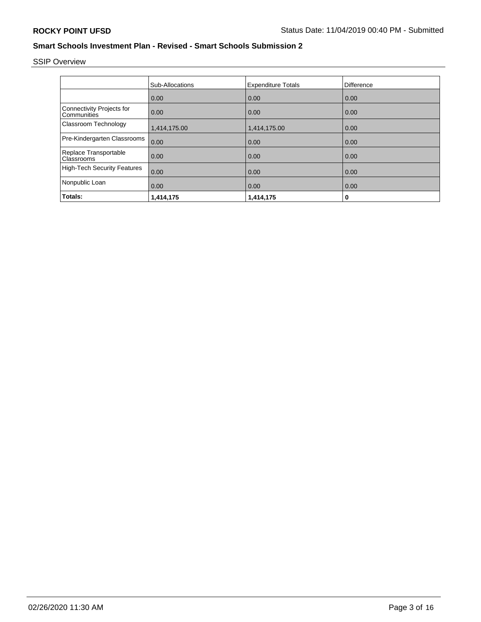SSIP Overview

|                                          | Sub-Allocations | <b>Expenditure Totals</b> | <b>Difference</b> |
|------------------------------------------|-----------------|---------------------------|-------------------|
|                                          | 0.00            | 0.00                      | 0.00              |
| Connectivity Projects for<br>Communities | 0.00            | 0.00                      | 0.00              |
| <b>Classroom Technology</b>              | 1,414,175.00    | 1,414,175.00              | 0.00              |
| Pre-Kindergarten Classrooms              | 0.00            | 0.00                      | 0.00              |
| Replace Transportable<br>Classrooms      | 0.00            | 0.00                      | 0.00              |
| High-Tech Security Features              | 0.00            | 0.00                      | 0.00              |
| Nonpublic Loan                           | 0.00            | 0.00                      | 0.00              |
| Totals:                                  | 1,414,175       | 1,414,175                 | $\mathbf 0$       |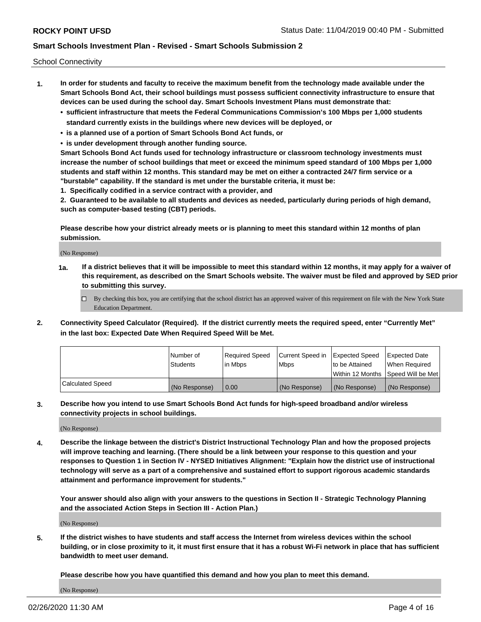School Connectivity

- **1. In order for students and faculty to receive the maximum benefit from the technology made available under the Smart Schools Bond Act, their school buildings must possess sufficient connectivity infrastructure to ensure that devices can be used during the school day. Smart Schools Investment Plans must demonstrate that:**
	- **• sufficient infrastructure that meets the Federal Communications Commission's 100 Mbps per 1,000 students standard currently exists in the buildings where new devices will be deployed, or**
	- **• is a planned use of a portion of Smart Schools Bond Act funds, or**
	- **• is under development through another funding source.**

**Smart Schools Bond Act funds used for technology infrastructure or classroom technology investments must increase the number of school buildings that meet or exceed the minimum speed standard of 100 Mbps per 1,000 students and staff within 12 months. This standard may be met on either a contracted 24/7 firm service or a "burstable" capability. If the standard is met under the burstable criteria, it must be:**

**1. Specifically codified in a service contract with a provider, and**

**2. Guaranteed to be available to all students and devices as needed, particularly during periods of high demand, such as computer-based testing (CBT) periods.**

**Please describe how your district already meets or is planning to meet this standard within 12 months of plan submission.**

(No Response)

**1a. If a district believes that it will be impossible to meet this standard within 12 months, it may apply for a waiver of this requirement, as described on the Smart Schools website. The waiver must be filed and approved by SED prior to submitting this survey.**

 $\Box$  By checking this box, you are certifying that the school district has an approved waiver of this requirement on file with the New York State Education Department.

**2. Connectivity Speed Calculator (Required). If the district currently meets the required speed, enter "Currently Met" in the last box: Expected Date When Required Speed Will be Met.**

|                  | l Number of     | Required Speed | Current Speed in | Expected Speed  | Expected Date                           |
|------------------|-----------------|----------------|------------------|-----------------|-----------------------------------------|
|                  | <b>Students</b> | In Mbps        | l Mbps           | to be Attained  | When Required                           |
|                  |                 |                |                  |                 | l Within 12 Months ISpeed Will be Met l |
| Calculated Speed | (No Response)   | 0.00           | (No Response)    | l (No Response) | l (No Response)                         |

**3. Describe how you intend to use Smart Schools Bond Act funds for high-speed broadband and/or wireless connectivity projects in school buildings.**

(No Response)

**4. Describe the linkage between the district's District Instructional Technology Plan and how the proposed projects will improve teaching and learning. (There should be a link between your response to this question and your responses to Question 1 in Section IV - NYSED Initiatives Alignment: "Explain how the district use of instructional technology will serve as a part of a comprehensive and sustained effort to support rigorous academic standards attainment and performance improvement for students."** 

**Your answer should also align with your answers to the questions in Section II - Strategic Technology Planning and the associated Action Steps in Section III - Action Plan.)**

(No Response)

**5. If the district wishes to have students and staff access the Internet from wireless devices within the school building, or in close proximity to it, it must first ensure that it has a robust Wi-Fi network in place that has sufficient bandwidth to meet user demand.**

**Please describe how you have quantified this demand and how you plan to meet this demand.**

(No Response)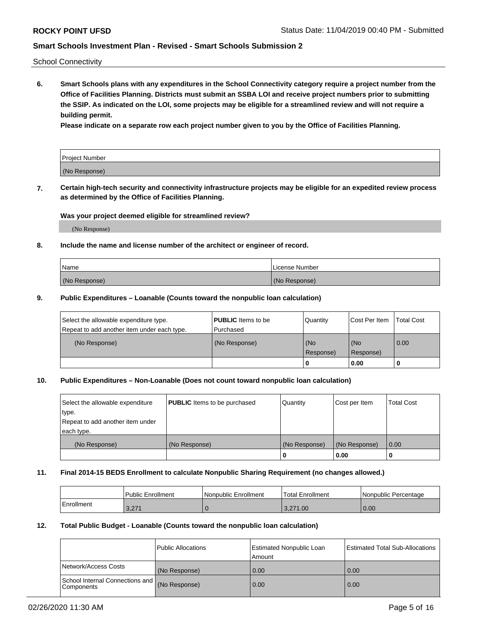School Connectivity

**6. Smart Schools plans with any expenditures in the School Connectivity category require a project number from the Office of Facilities Planning. Districts must submit an SSBA LOI and receive project numbers prior to submitting the SSIP. As indicated on the LOI, some projects may be eligible for a streamlined review and will not require a building permit.**

**Please indicate on a separate row each project number given to you by the Office of Facilities Planning.**

| Project Number |  |
|----------------|--|
| (No Response)  |  |

**7. Certain high-tech security and connectivity infrastructure projects may be eligible for an expedited review process as determined by the Office of Facilities Planning.**

#### **Was your project deemed eligible for streamlined review?**

(No Response)

### **8. Include the name and license number of the architect or engineer of record.**

| Name          | License Number |
|---------------|----------------|
| (No Response) | (No Response)  |

#### **9. Public Expenditures – Loanable (Counts toward the nonpublic loan calculation)**

| Select the allowable expenditure type.<br>Repeat to add another item under each type. | <b>PUBLIC</b> Items to be<br>l Purchased | Quantity           | Cost Per Item    | <b>Total Cost</b> |
|---------------------------------------------------------------------------------------|------------------------------------------|--------------------|------------------|-------------------|
| (No Response)                                                                         | (No Response)                            | l (No<br>Response) | (No<br>Response) | $\overline{0.00}$ |
|                                                                                       |                                          | O                  | 0.00             |                   |

### **10. Public Expenditures – Non-Loanable (Does not count toward nonpublic loan calculation)**

| Select the allowable expenditure<br>type.<br>Repeat to add another item under<br>each type. | <b>PUBLIC</b> Items to be purchased | Quantity      | Cost per Item | <b>Total Cost</b> |
|---------------------------------------------------------------------------------------------|-------------------------------------|---------------|---------------|-------------------|
| (No Response)                                                                               | (No Response)                       | (No Response) | (No Response) | 0.00              |
|                                                                                             |                                     |               | 0.00          |                   |

#### **11. Final 2014-15 BEDS Enrollment to calculate Nonpublic Sharing Requirement (no changes allowed.)**

|            | Public Enrollment | l Nonpublic Enrollment | <b>Total Enrollment</b> | Nonpublic Percentage |
|------------|-------------------|------------------------|-------------------------|----------------------|
| Enrollment | 2.071<br>J,∠7     |                        | 3.271.00                | 0.00                 |

### **12. Total Public Budget - Loanable (Counts toward the nonpublic loan calculation)**

|                                                      | Public Allocations | <b>Estimated Nonpublic Loan</b><br>Amount | Estimated Total Sub-Allocations |
|------------------------------------------------------|--------------------|-------------------------------------------|---------------------------------|
| Network/Access Costs                                 | (No Response)      | 0.00                                      | 0.00                            |
| School Internal Connections and<br><b>Components</b> | (No Response)      | 0.00                                      | 0.00                            |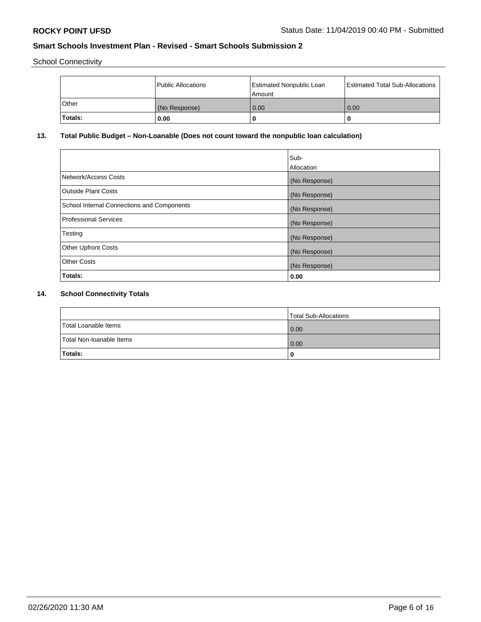School Connectivity

|         | Public Allocations | <b>Estimated Nonpublic Loan</b><br>l Amount | <b>Estimated Total Sub-Allocations</b> |
|---------|--------------------|---------------------------------------------|----------------------------------------|
| l Other | (No Response)      | 0.00                                        | 0.00                                   |
| Totals: | 0.00               | 0                                           |                                        |

# **13. Total Public Budget – Non-Loanable (Does not count toward the nonpublic loan calculation)**

|                                                   | Sub-<br>Allocation |
|---------------------------------------------------|--------------------|
|                                                   |                    |
| Network/Access Costs                              | (No Response)      |
| <b>Outside Plant Costs</b>                        | (No Response)      |
| <b>School Internal Connections and Components</b> | (No Response)      |
| Professional Services                             | (No Response)      |
| Testing                                           | (No Response)      |
| <b>Other Upfront Costs</b>                        | (No Response)      |
| <b>Other Costs</b>                                | (No Response)      |
| <b>Totals:</b>                                    | 0.00               |

# **14. School Connectivity Totals**

|                          | Total Sub-Allocations |
|--------------------------|-----------------------|
| Total Loanable Items     | 0.00                  |
| Total Non-Ioanable Items | 0.00                  |
| Totals:                  | 0                     |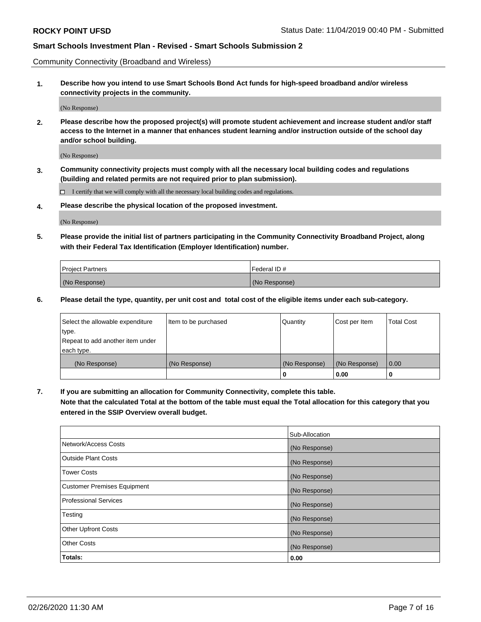Community Connectivity (Broadband and Wireless)

**1. Describe how you intend to use Smart Schools Bond Act funds for high-speed broadband and/or wireless connectivity projects in the community.**

(No Response)

**2. Please describe how the proposed project(s) will promote student achievement and increase student and/or staff access to the Internet in a manner that enhances student learning and/or instruction outside of the school day and/or school building.**

(No Response)

**3. Community connectivity projects must comply with all the necessary local building codes and regulations (building and related permits are not required prior to plan submission).**

 $\Box$  I certify that we will comply with all the necessary local building codes and regulations.

**4. Please describe the physical location of the proposed investment.**

(No Response)

**5. Please provide the initial list of partners participating in the Community Connectivity Broadband Project, along with their Federal Tax Identification (Employer Identification) number.**

| <b>Project Partners</b> | l Federal ID # |
|-------------------------|----------------|
| (No Response)           | (No Response)  |

**6. Please detail the type, quantity, per unit cost and total cost of the eligible items under each sub-category.**

| Select the allowable expenditure | Item to be purchased | Quantity      | Cost per Item | <b>Total Cost</b> |
|----------------------------------|----------------------|---------------|---------------|-------------------|
| type.                            |                      |               |               |                   |
| Repeat to add another item under |                      |               |               |                   |
| each type.                       |                      |               |               |                   |
| (No Response)                    | (No Response)        | (No Response) | (No Response) | 0.00              |
|                                  |                      | o             | 0.00          |                   |

**7. If you are submitting an allocation for Community Connectivity, complete this table.**

**Note that the calculated Total at the bottom of the table must equal the Total allocation for this category that you entered in the SSIP Overview overall budget.**

|                                    | Sub-Allocation |
|------------------------------------|----------------|
| Network/Access Costs               | (No Response)  |
| Outside Plant Costs                | (No Response)  |
| <b>Tower Costs</b>                 | (No Response)  |
| <b>Customer Premises Equipment</b> | (No Response)  |
| <b>Professional Services</b>       | (No Response)  |
| Testing                            | (No Response)  |
| <b>Other Upfront Costs</b>         | (No Response)  |
| <b>Other Costs</b>                 | (No Response)  |
| Totals:                            | 0.00           |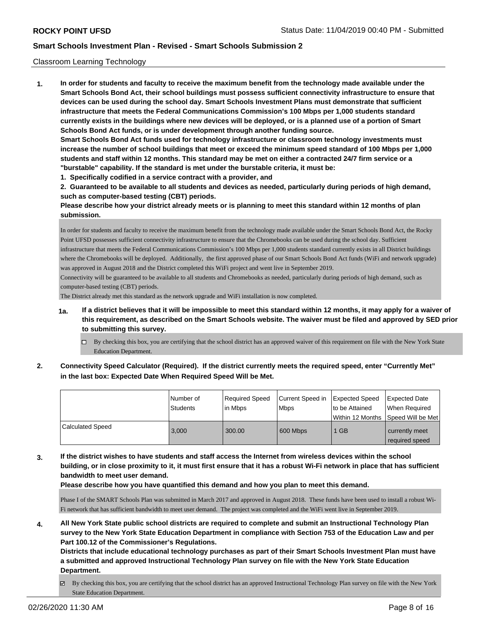### Classroom Learning Technology

**1. In order for students and faculty to receive the maximum benefit from the technology made available under the Smart Schools Bond Act, their school buildings must possess sufficient connectivity infrastructure to ensure that devices can be used during the school day. Smart Schools Investment Plans must demonstrate that sufficient infrastructure that meets the Federal Communications Commission's 100 Mbps per 1,000 students standard currently exists in the buildings where new devices will be deployed, or is a planned use of a portion of Smart Schools Bond Act funds, or is under development through another funding source. Smart Schools Bond Act funds used for technology infrastructure or classroom technology investments must increase the number of school buildings that meet or exceed the minimum speed standard of 100 Mbps per 1,000 students and staff within 12 months. This standard may be met on either a contracted 24/7 firm service or a**

**"burstable" capability. If the standard is met under the burstable criteria, it must be:**

**1. Specifically codified in a service contract with a provider, and**

**2. Guaranteed to be available to all students and devices as needed, particularly during periods of high demand, such as computer-based testing (CBT) periods.**

**Please describe how your district already meets or is planning to meet this standard within 12 months of plan submission.**

In order for students and faculty to receive the maximum benefit from the technology made available under the Smart Schools Bond Act, the Rocky Point UFSD possesses sufficient connectivity infrastructure to ensure that the Chromebooks can be used during the school day. Sufficient infrastructure that meets the Federal Communications Commission's 100 Mbps per 1,000 students standard currently exists in all District buildings where the Chromebooks will be deployed. Additionally, the first approved phase of our Smart Schools Bond Act funds (WiFi and network upgrade) was approved in August 2018 and the District completed this WiFi project and went live in September 2019.

Connectivity will be guaranteed to be available to all students and Chromebooks as needed, particularly during periods of high demand, such as computer-based testing (CBT) periods.

The District already met this standard as the network upgrade and WiFi installation is now completed.

- **1a. If a district believes that it will be impossible to meet this standard within 12 months, it may apply for a waiver of this requirement, as described on the Smart Schools website. The waiver must be filed and approved by SED prior to submitting this survey.**
	- By checking this box, you are certifying that the school district has an approved waiver of this requirement on file with the New York State Education Department.
- **2. Connectivity Speed Calculator (Required). If the district currently meets the required speed, enter "Currently Met" in the last box: Expected Date When Required Speed Will be Met.**

|                         | Number of<br><b>Students</b> | Required Speed<br>in Mbps | Current Speed in<br><b>Mbps</b> | <b>Expected Speed</b><br>to be Attained | <b>Expected Date</b><br>When Reauired<br>Within 12 Months Speed Will be Met |
|-------------------------|------------------------------|---------------------------|---------------------------------|-----------------------------------------|-----------------------------------------------------------------------------|
| <b>Calculated Speed</b> | 3.000                        | 300.00                    | 600 Mbps                        | I GB                                    | currently meet<br>required speed                                            |

**3. If the district wishes to have students and staff access the Internet from wireless devices within the school building, or in close proximity to it, it must first ensure that it has a robust Wi-Fi network in place that has sufficient bandwidth to meet user demand.**

**Please describe how you have quantified this demand and how you plan to meet this demand.**

Phase I of the SMART Schools Plan was submitted in March 2017 and approved in August 2018. These funds have been used to install a robust Wi-Fi network that has sufficient bandwidth to meet user demand. The project was completed and the WiFi went live in September 2019.

**4. All New York State public school districts are required to complete and submit an Instructional Technology Plan survey to the New York State Education Department in compliance with Section 753 of the Education Law and per Part 100.12 of the Commissioner's Regulations.**

**Districts that include educational technology purchases as part of their Smart Schools Investment Plan must have a submitted and approved Instructional Technology Plan survey on file with the New York State Education Department.**

By checking this box, you are certifying that the school district has an approved Instructional Technology Plan survey on file with the New York State Education Department.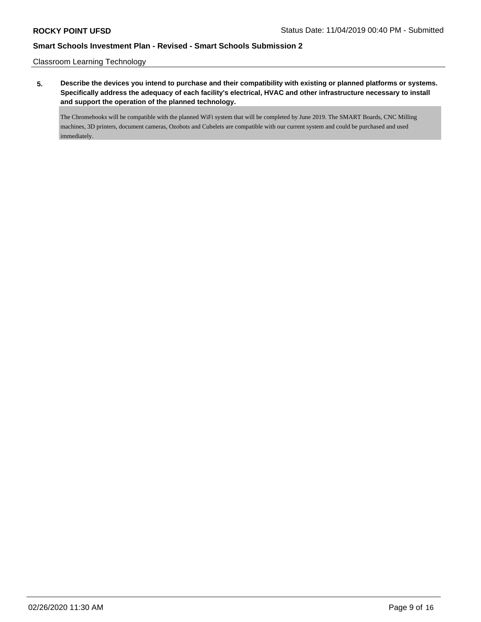Classroom Learning Technology

**5. Describe the devices you intend to purchase and their compatibility with existing or planned platforms or systems. Specifically address the adequacy of each facility's electrical, HVAC and other infrastructure necessary to install and support the operation of the planned technology.**

The Chromebooks will be compatible with the planned WiFi system that will be completed by June 2019. The SMART Boards, CNC Milling machines, 3D printers, document cameras, Ozobots and Cubelets are compatible with our current system and could be purchased and used immediately.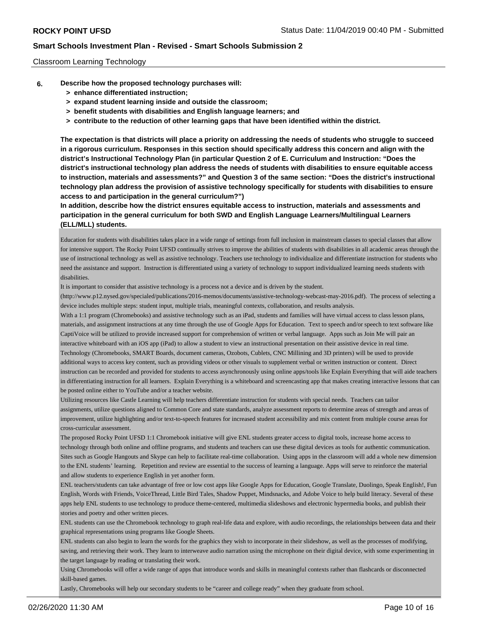#### Classroom Learning Technology

- **6. Describe how the proposed technology purchases will:**
	- **> enhance differentiated instruction;**
	- **> expand student learning inside and outside the classroom;**
	- **> benefit students with disabilities and English language learners; and**
	- **> contribute to the reduction of other learning gaps that have been identified within the district.**

**The expectation is that districts will place a priority on addressing the needs of students who struggle to succeed in a rigorous curriculum. Responses in this section should specifically address this concern and align with the district's Instructional Technology Plan (in particular Question 2 of E. Curriculum and Instruction: "Does the district's instructional technology plan address the needs of students with disabilities to ensure equitable access to instruction, materials and assessments?" and Question 3 of the same section: "Does the district's instructional technology plan address the provision of assistive technology specifically for students with disabilities to ensure access to and participation in the general curriculum?")**

**In addition, describe how the district ensures equitable access to instruction, materials and assessments and participation in the general curriculum for both SWD and English Language Learners/Multilingual Learners (ELL/MLL) students.**

Education for students with disabilities takes place in a wide range of settings from full inclusion in mainstream classes to special classes that allow for intensive support. The Rocky Point UFSD continually strives to improve the abilities of students with disabilities in all academic areas through the use of instructional technology as well as assistive technology. Teachers use technology to individualize and differentiate instruction for students who need the assistance and support. Instruction is differentiated using a variety of technology to support individualized learning needs students with disabilities.

It is important to consider that assistive technology is a process not a device and is driven by the student.

(http://www.p12.nysed.gov/specialed/publications/2016-memos/documents/assistive-technology-webcast-may-2016.pdf). The process of selecting a device includes multiple steps: student input, multiple trials, meaningful contexts, collaboration, and results analysis.

With a 1:1 program (Chromebooks) and assistive technology such as an iPad, students and families will have virtual access to class lesson plans, materials, and assignment instructions at any time through the use of Google Apps for Education. Text to speech and/or speech to text software like CaptiVoice will be utilized to provide increased support for comprehension of written or verbal language. Apps such as Join Me will pair an interactive whiteboard with an iOS app (iPad) to allow a student to view an instructional presentation on their assistive device in real time. Technology (Chromebooks, SMART Boards, document cameras, Ozobots, Cublets, CNC Millining and 3D printers) will be used to provide additional ways to access key content, such as providing videos or other visuals to supplement verbal or written instruction or content. Direct instruction can be recorded and provided for students to access asynchronously using online apps/tools like Explain Everything that will aide teachers in differentiating instruction for all learners. Explain Everything is a whiteboard and screencasting app that makes creating interactive lessons that can be posted online either to YouTube and/or a teacher website.

Utilizing resources like Castle Learning will help teachers differentiate instruction for students with special needs. Teachers can tailor assignments, utilize questions aligned to Common Core and state standards, analyze assessment reports to determine areas of strength and areas of improvement, utilize highlighting and/or text-to-speech features for increased student accessibility and mix content from multiple course areas for cross-curricular assessment.

The proposed Rocky Point UFSD 1:1 Chromebook initiative will give ENL students greater access to digital tools, increase home access to technology through both online and offline programs, and students and teachers can use these digital devices as tools for authentic communication. Sites such as Google Hangouts and Skype can help to facilitate real-time collaboration. Using apps in the classroom will add a whole new dimension to the ENL students' learning. Repetition and review are essential to the success of learning a language. Apps will serve to reinforce the material and allow students to experience English in yet another form.

ENL teachers/students can take advantage of free or low cost apps like Google Apps for Education, Google Translate, Duolingo, Speak English!, Fun English, Words with Friends, VoiceThread, Little Bird Tales, Shadow Puppet, Mindsnacks, and Adobe Voice to help build literacy. Several of these apps help ENL students to use technology to produce theme-centered, multimedia slideshows and electronic hypermedia books, and publish their stories and poetry and other written pieces.

ENL students can use the Chromebook technology to graph real-life data and explore, with audio recordings, the relationships between data and their graphical representations using programs like Google Sheets.

ENL students can also begin to learn the words for the graphics they wish to incorporate in their slideshow, as well as the processes of modifying, saving, and retrieving their work. They learn to interweave audio narration using the microphone on their digital device, with some experimenting in the target language by reading or translating their work.

Using Chromebooks will offer a wide range of apps that introduce words and skills in meaningful contexts rather than flashcards or disconnected skill-based games.

Lastly, Chromebooks will help our secondary students to be "career and college ready" when they graduate from school.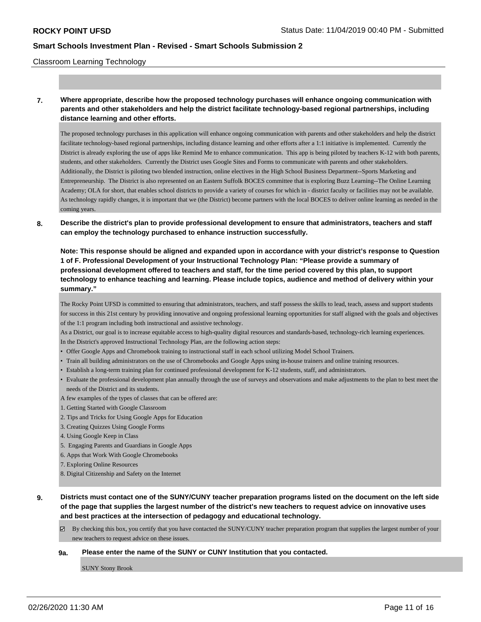### Classroom Learning Technology

**7. Where appropriate, describe how the proposed technology purchases will enhance ongoing communication with parents and other stakeholders and help the district facilitate technology-based regional partnerships, including distance learning and other efforts.**

The proposed technology purchases in this application will enhance ongoing communication with parents and other stakeholders and help the district facilitate technology-based regional partnerships, including distance learning and other efforts after a 1:1 initiative is implemented. Currently the District is already exploring the use of apps like Remind Me to enhance communication. This app is being piloted by teachers K-12 with both parents, students, and other stakeholders. Currently the District uses Google Sites and Forms to communicate with parents and other stakeholders. Additionally, the District is piloting two blended instruction, online electives in the High School Business Department--Sports Marketing and Entrepreneurship. The District is also represented on an Eastern Suffolk BOCES committee that is exploring Buzz Learning--The Online Learning Academy; OLA for short, that enables school districts to provide a variety of courses for which in - district faculty or facilities may not be available. As technology rapidly changes, it is important that we (the District) become partners with the local BOCES to deliver online learning as needed in the coming years.

**8. Describe the district's plan to provide professional development to ensure that administrators, teachers and staff can employ the technology purchased to enhance instruction successfully.**

**Note: This response should be aligned and expanded upon in accordance with your district's response to Question 1 of F. Professional Development of your Instructional Technology Plan: "Please provide a summary of professional development offered to teachers and staff, for the time period covered by this plan, to support technology to enhance teaching and learning. Please include topics, audience and method of delivery within your summary."**

The Rocky Point UFSD is committed to ensuring that administrators, teachers, and staff possess the skills to lead, teach, assess and support students for success in this 21st century by providing innovative and ongoing professional learning opportunities for staff aligned with the goals and objectives of the 1:1 program including both instructional and assistive technology.

As a District, our goal is to increase equitable access to high-quality digital resources and standards-based, technology-rich learning experiences. In the District's approved Instructional Technology Plan, are the following action steps:

- Offer Google Apps and Chromebook training to instructional staff in each school utilizing Model School Trainers.
- Train all building administrators on the use of Chromebooks and Google Apps using in-house trainers and online training resources.
- Establish a long-term training plan for continued professional development for K-12 students, staff, and administrators.
- Evaluate the professional development plan annually through the use of surveys and observations and make adjustments to the plan to best meet the needs of the District and its students.
- A few examples of the types of classes that can be offered are:
- 1. Getting Started with Google Classroom
- 2. Tips and Tricks for Using Google Apps for Education
- 3. Creating Quizzes Using Google Forms
- 4. Using Google Keep in Class
- 5. Engaging Parents and Guardians in Google Apps
- 6. Apps that Work With Google Chromebooks
- 7. Exploring Online Resources
- 8. Digital Citizenship and Safety on the Internet
- **9. Districts must contact one of the SUNY/CUNY teacher preparation programs listed on the document on the left side of the page that supplies the largest number of the district's new teachers to request advice on innovative uses and best practices at the intersection of pedagogy and educational technology.**
	- $\boxtimes$  By checking this box, you certify that you have contacted the SUNY/CUNY teacher preparation program that supplies the largest number of your new teachers to request advice on these issues.

#### **9a. Please enter the name of the SUNY or CUNY Institution that you contacted.**

SUNY Stony Brook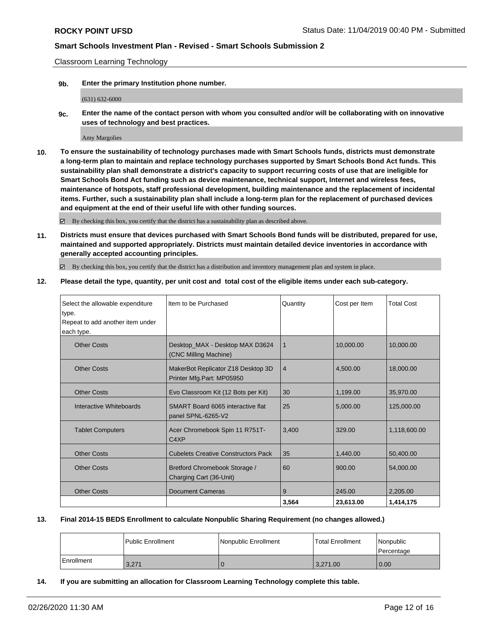Classroom Learning Technology

**9b. Enter the primary Institution phone number.**

(631) 632-6000

**9c. Enter the name of the contact person with whom you consulted and/or will be collaborating with on innovative uses of technology and best practices.**

Amy Margolies

**10. To ensure the sustainability of technology purchases made with Smart Schools funds, districts must demonstrate a long-term plan to maintain and replace technology purchases supported by Smart Schools Bond Act funds. This sustainability plan shall demonstrate a district's capacity to support recurring costs of use that are ineligible for Smart Schools Bond Act funding such as device maintenance, technical support, Internet and wireless fees, maintenance of hotspots, staff professional development, building maintenance and the replacement of incidental items. Further, such a sustainability plan shall include a long-term plan for the replacement of purchased devices and equipment at the end of their useful life with other funding sources.**

By checking this box, you certify that the district has a sustainability plan as described above.

**11. Districts must ensure that devices purchased with Smart Schools Bond funds will be distributed, prepared for use, maintained and supported appropriately. Districts must maintain detailed device inventories in accordance with generally accepted accounting principles.**

By checking this box, you certify that the district has a distribution and inventory management plan and system in place.

**12. Please detail the type, quantity, per unit cost and total cost of the eligible items under each sub-category.**

| Select the allowable expenditure | Item to be Purchased                                            | Quantity    | Cost per Item | <b>Total Cost</b> |
|----------------------------------|-----------------------------------------------------------------|-------------|---------------|-------------------|
| type.                            |                                                                 |             |               |                   |
| Repeat to add another item under |                                                                 |             |               |                   |
| each type.                       |                                                                 |             |               |                   |
| <b>Other Costs</b>               | Desktop_MAX - Desktop MAX D3624<br>(CNC Milling Machine)        | $\mathbf 1$ | 10,000.00     | 10.000.00         |
| <b>Other Costs</b>               | MakerBot Replicator Z18 Desktop 3D<br>Printer Mfg.Part: MP05950 | 4           | 4,500.00      | 18,000.00         |
| <b>Other Costs</b>               | Evo Classroom Kit (12 Bots per Kit)                             | 30          | 1,199.00      | 35,970.00         |
| Interactive Whiteboards          | SMART Board 6065 interactive flat<br>panel SPNL-6265-V2         | 25          | 5,000.00      | 125,000.00        |
| <b>Tablet Computers</b>          | Acer Chromebook Spin 11 R751T-<br>C4XP                          | 3,400       | 329.00        | 1,118,600.00      |
| <b>Other Costs</b>               | <b>Cubelets Creative Constructors Pack</b>                      | 35          | 1,440.00      | 50,400.00         |
| <b>Other Costs</b>               | Bretford Chromebook Storage /<br>Charging Cart (36-Unit)        | 60          | 900.00        | 54,000.00         |
| <b>Other Costs</b>               | <b>Document Cameras</b>                                         | 9           | 245.00        | 2,205.00          |
|                                  |                                                                 | 3,564       | 23,613.00     | 1,414,175         |

#### **13. Final 2014-15 BEDS Enrollment to calculate Nonpublic Sharing Requirement (no changes allowed.)**

|            | l Public Enrollment | Nonpublic Enrollment | <b>Total Enrollment</b> | Nonpublic<br>Percentage |
|------------|---------------------|----------------------|-------------------------|-------------------------|
| Enrollment | 3,271               |                      | 13.271.00               | 0.00                    |

**14. If you are submitting an allocation for Classroom Learning Technology complete this table.**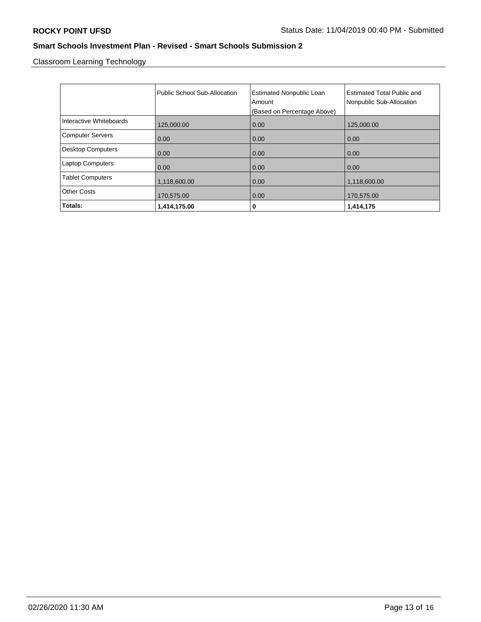Classroom Learning Technology

|                          | Public School Sub-Allocation | <b>Estimated Nonpublic Loan</b><br>Amount<br>(Based on Percentage Above) | <b>Estimated Total Public and</b><br>Nonpublic Sub-Allocation |
|--------------------------|------------------------------|--------------------------------------------------------------------------|---------------------------------------------------------------|
| Interactive Whiteboards  | 125,000.00                   | 0.00                                                                     | 125,000.00                                                    |
| <b>Computer Servers</b>  | 0.00                         | 0.00                                                                     | 0.00                                                          |
| <b>Desktop Computers</b> | 0.00                         | 0.00                                                                     | 0.00                                                          |
| <b>Laptop Computers</b>  | 0.00                         | 0.00                                                                     | 0.00                                                          |
| <b>Tablet Computers</b>  | 1,118,600.00                 | 0.00                                                                     | 1,118,600.00                                                  |
| <b>Other Costs</b>       | 170,575.00                   | 0.00                                                                     | 170,575.00                                                    |
| Totals:                  | 1,414,175.00                 | 0                                                                        | 1,414,175                                                     |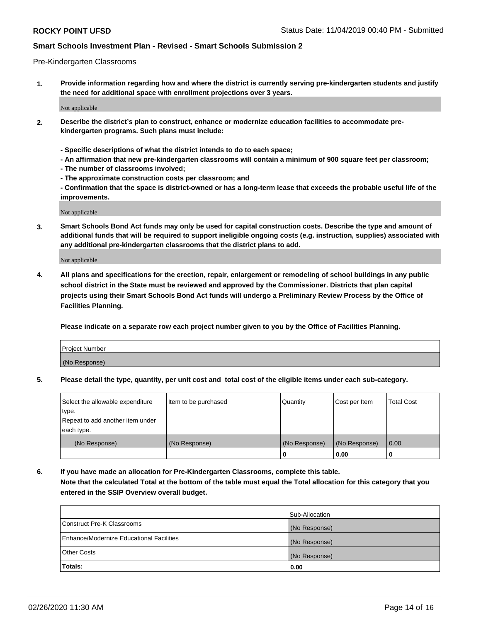#### Pre-Kindergarten Classrooms

**1. Provide information regarding how and where the district is currently serving pre-kindergarten students and justify the need for additional space with enrollment projections over 3 years.**

Not applicable

- **2. Describe the district's plan to construct, enhance or modernize education facilities to accommodate prekindergarten programs. Such plans must include:**
	- **Specific descriptions of what the district intends to do to each space;**
	- **An affirmation that new pre-kindergarten classrooms will contain a minimum of 900 square feet per classroom;**
	- **The number of classrooms involved;**
	- **The approximate construction costs per classroom; and**
	- **Confirmation that the space is district-owned or has a long-term lease that exceeds the probable useful life of the improvements.**

Not applicable

**3. Smart Schools Bond Act funds may only be used for capital construction costs. Describe the type and amount of additional funds that will be required to support ineligible ongoing costs (e.g. instruction, supplies) associated with any additional pre-kindergarten classrooms that the district plans to add.**

Not applicable

**4. All plans and specifications for the erection, repair, enlargement or remodeling of school buildings in any public school district in the State must be reviewed and approved by the Commissioner. Districts that plan capital projects using their Smart Schools Bond Act funds will undergo a Preliminary Review Process by the Office of Facilities Planning.**

**Please indicate on a separate row each project number given to you by the Office of Facilities Planning.**

| Project Number |  |
|----------------|--|
| (No Response)  |  |
|                |  |

**5. Please detail the type, quantity, per unit cost and total cost of the eligible items under each sub-category.**

| Select the allowable expenditure | Item to be purchased | Quantity      | Cost per Item | <b>Total Cost</b> |
|----------------------------------|----------------------|---------------|---------------|-------------------|
| type.                            |                      |               |               |                   |
| Repeat to add another item under |                      |               |               |                   |
| each type.                       |                      |               |               |                   |
| (No Response)                    | (No Response)        | (No Response) | (No Response) | 0.00              |
|                                  |                      | U             | 0.00          |                   |

**6. If you have made an allocation for Pre-Kindergarten Classrooms, complete this table. Note that the calculated Total at the bottom of the table must equal the Total allocation for this category that you entered in the SSIP Overview overall budget.**

|                                          | Sub-Allocation |
|------------------------------------------|----------------|
| Construct Pre-K Classrooms               | (No Response)  |
| Enhance/Modernize Educational Facilities | (No Response)  |
| <b>Other Costs</b>                       | (No Response)  |
| Totals:                                  | 0.00           |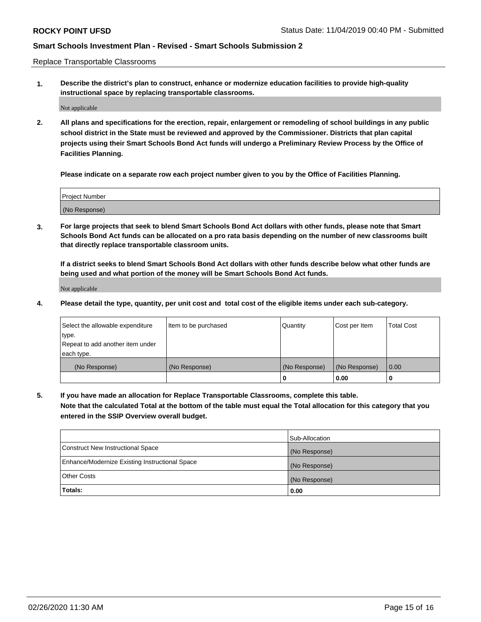Replace Transportable Classrooms

**1. Describe the district's plan to construct, enhance or modernize education facilities to provide high-quality instructional space by replacing transportable classrooms.**

Not applicable

**2. All plans and specifications for the erection, repair, enlargement or remodeling of school buildings in any public school district in the State must be reviewed and approved by the Commissioner. Districts that plan capital projects using their Smart Schools Bond Act funds will undergo a Preliminary Review Process by the Office of Facilities Planning.**

**Please indicate on a separate row each project number given to you by the Office of Facilities Planning.**

| Project Number |  |
|----------------|--|
|                |  |
| (No Response)  |  |

**3. For large projects that seek to blend Smart Schools Bond Act dollars with other funds, please note that Smart Schools Bond Act funds can be allocated on a pro rata basis depending on the number of new classrooms built that directly replace transportable classroom units.**

**If a district seeks to blend Smart Schools Bond Act dollars with other funds describe below what other funds are being used and what portion of the money will be Smart Schools Bond Act funds.**

Not applicable

**4. Please detail the type, quantity, per unit cost and total cost of the eligible items under each sub-category.**

| Select the allowable expenditure | Item to be purchased | Quantity      | Cost per Item | <b>Total Cost</b> |
|----------------------------------|----------------------|---------------|---------------|-------------------|
| type.                            |                      |               |               |                   |
| Repeat to add another item under |                      |               |               |                   |
| each type.                       |                      |               |               |                   |
| (No Response)                    | (No Response)        | (No Response) | (No Response) | 0.00              |
|                                  |                      | U             | 0.00          |                   |

**5. If you have made an allocation for Replace Transportable Classrooms, complete this table. Note that the calculated Total at the bottom of the table must equal the Total allocation for this category that you entered in the SSIP Overview overall budget.**

|                                                | Sub-Allocation |
|------------------------------------------------|----------------|
| Construct New Instructional Space              | (No Response)  |
| Enhance/Modernize Existing Instructional Space | (No Response)  |
| <b>Other Costs</b>                             | (No Response)  |
| Totals:                                        | 0.00           |